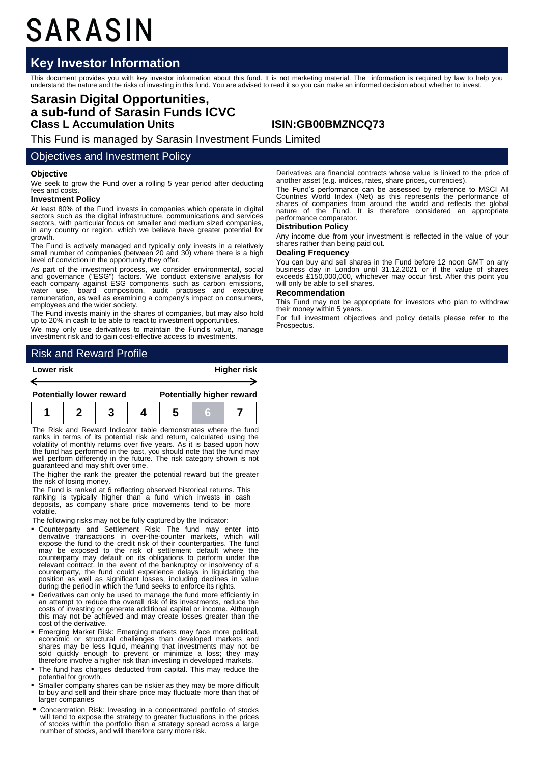# SARASIN

## **Key Investor Information**

This document provides you with key investor information about this fund. It is not marketing material. The information is required by law to help you<br>understand the nature and the risks of investing in this fund. You are

## **Sarasin Digital Opportunities, a sub-fund of Sarasin Funds ICVC Class L Accumulation Units ISIN:GB00BMZNCQ73**

This Fund is managed by Sarasin Investment Funds Limited

### Objectives and Investment Policy

#### **Objective**

←

We seek to grow the Fund over a rolling 5 year period after deducting fees and costs.

#### **Investment Policy**

At least 80% of the Fund invests in companies which operate in digital sectors such as the digital infrastructure, communications and services sectors, with particular focus on smaller and medium sized companies, in any country or region, which we believe have greater potential for growth.

The Fund is actively managed and typically only invests in a relatively small number of companies (between 20 and 30) where there is a high level of conviction in the opportunity they offer.

As part of the investment process, we consider environmental, social<br>and governance ("ESG") factors. We conduct extensive analysis for<br>each company against ESG components such as carbon emissions,<br>water use, board composit employees and the wider society.

The Fund invests mainly in the shares of companies, but may also hold up to 20% in cash to be able to react to investment opportunities.

We may only use derivatives to maintain the Fund's value, manage investment risk and to gain cost-effective access to investments.

Risk and Reward Profile

#### **Lower risk Higher risk**

| <b>Potentially lower reward</b> |  | <b>Potentially higher reward</b> |  |  |  |
|---------------------------------|--|----------------------------------|--|--|--|
|                                 |  |                                  |  |  |  |

The Risk and Reward Indicator table demonstrates where the fund ranks in terms of its potential risk and return, calculated using the volatility of monthly returns over five years. As it is based upon how the fund has performed in the past, you should note that the fund may well perform differently in the future. The risk category shown is not guaranteed and may shift over time.

The higher the rank the greater the potential reward but the greater the risk of losing money.

The Fund is ranked at 6 reflecting observed historical returns. This ranking is typically higher than a fund which invests in cash<br>deposits, as company share price movements tend to be more volatile.

The following risks may not be fully captured by the Indicator:

- Counterparty and Settlement Risk: The fund may enter into derivative transactions in over-the-counter markets, which will expose the fund to the credit risk of their counterparties. The fund may be exposed to the risk of settlement default where the counterparty may default on its obligations to perform under the relevant contract. In the event of the bankruptcy or insolvency of a counterparty, the fund could experience delays in liquidating the position as well as significant losses, including declines in value during the period in which the fund seeks to enforce its rights.
- Derivatives can only be used to manage the fund more efficiently in an attempt to reduce the overall risk of its investments, reduce the costs of investing or generate additional capital or income. Although this may not be achieved and may create losses greater than the cost of the derivative.
- Emerging Market Risk: Emerging markets may face more political, economic or structural challenges than developed markets and<br>shares may be less liquid, meaning that investments may not be<br>sold quickly enough to prevent or minimize a loss; they may<br>therefore involve a higher risk than i
- The fund has charges deducted from capital. This may reduce the potential for growth.
- Smaller company shares can be riskier as they may be more difficult to buy and sell and their share price may fluctuate more than that of larger companies
- Concentration Risk: Investing in a concentrated portfolio of stocks will tend to expose the strategy to greater fluctuations in the prices of stocks within the portfolio than a strategy spread across a large number of stocks, and will therefore carry more risk.

Derivatives are financial contracts whose value is linked to the price of another asset (e.g. indices, rates, share prices, currencies).

The Fund's performance can be assessed by reference to MSCI All Countries World Index (Net) as this represents the performance of shares of companies from around the world and reflects the global nature of the Fund. It is therefore considered an appropriate performance comparator.

#### **Distribution Policy**

Any income due from your investment is reflected in the value of your shares rather than being paid out.

#### **Dealing Frequency**

You can buy and sell shares in the Fund before 12 noon GMT on any business day in London until 31.12.2021 or if the value of shares exceeds £150,000,000, whichever may occur first. After this point you will only be able to sell shares.

#### **Recommendation**

This Fund may not be appropriate for investors who plan to withdraw their money within 5 years.

For full investment objectives and policy details please refer to the **Prospectus**